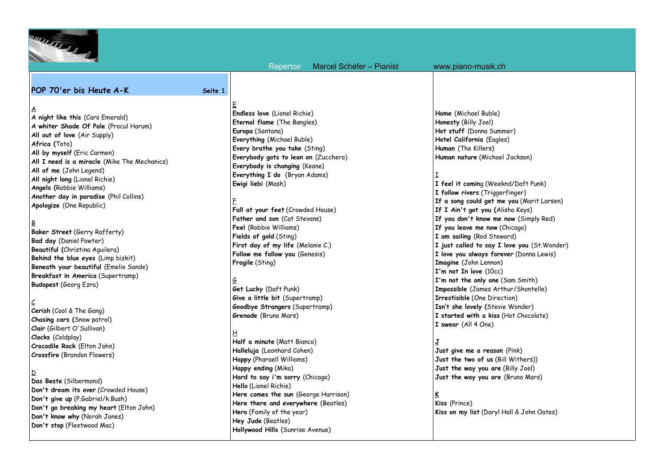

 Repertoir Marcel Schefer – Pianist www.piano-musik.ch **POP 70'er bis Heute A-K Seite 1 A night like this** (Caro Emerald) **A whiter Shade Of Pale** (Procul Harum) **All out of love** (Air Supply) **All by myself** (Eric Carmen) **All I need is a miracle** (Mike The Mechanics) **All of me** (John Legend) **All night long** (Lionel Richie) **Angels (**Robbie Williams) **Another day in paradise** (Phil Collins) **Apologize** (One Republic) E **Endless love** (Lionel Richie) **Eternal flame** (The Bangles) **Europa** (Santana) **Everything** (Michael Buble) **Every brathe you take** (Sting) **Everybody gots to lean on** (Zucchero) **Everybody is changing** (Keane) **Everything I do** (Bryan Adams) **Ewigi liebi** (Mash) F **Fall at your feet** (Crowded House) **Father and son** (Cat Stevans) **Feel** (Robbie Williams) **Fields of gold** (Sting) **First day of my life** (Melanie C.) **Follow me follow you** (Genesis) **Fragile** (Sting) G **Get Lucky** (Daft Punk) **Give a little bit** (Supertramp) **Goodbye Strangers** (Supertramp) **Grenade** (Bruno Mars) H **Half a minute** (Matt Bianco) **Halleluja** (Leonhard Cohen) **Happy** (Pharaell Williams) **Happy ending** (Mika) **Hard to say i'm sorry** (Chicago) **Hello** (Lionel Richie) **Here comes the sun** (George Harrison) **Here there and everywhere** (Beatles) **Hero** (Family of the year) **Hey Jude** (Beatles) **Home** (Michael Buble) **Honesty** (Billy Joel) **Hot stuff** (Donna Summer) **Hotel California** (Eagles) **Human** (The Killers) **Human nature** (Michael Jackson) I **I feel it comin**g (Weeknd/Daft Punk) **I follow rivers** (Triggerfinger) **If I Ain't got you (**Alisha Keys) **If you don't know me now** (Simply Red) **If you leave me now** (Chicago) **I am sailing** (Rod Steward) **I love you always forever** (Donna Lewis) **Imagine** (John Lennon) **I'm not In love** (10cc) **I'm not the only one** (Sam Smith) **Impossible** (James Arthur/Shontelle) **Irrestisible** (One Direction) **Isn't she lovely (**Stevie Wonder) **I started with a kiss** (Hot Chocolate) **I swear** (All 4 One) **J Just give me a reason** (Pink) **Just the two of us** (Bill Withers)) **Just the way you are** (Billy Joel) **Just the way you are** (Bruno Mars) **K Kiss** (Prince) **Kiss on my list** (Daryl Hall & John Oates)

# B

 $\underline{A}$ 

**Africa (**Toto)

**Baker Street** (Gerry Rafferty) **Bad day** (Daniel Powter) **Beautiful (**Christina Aguilera) **Behind the blue eyes** (Limp bizkit) **Beneath your beautiful** (Emelie Sande) **Breakfast in America** (Supertramp) **Budapest** (Georg Ezra)

## $\mathcal{L}$

**Cerish** (Cool & The Gang) **Chasing cars (**Snow patrol) **Clair** (Gilbert O'Sullivan) **Clocks** (Coldplay) **Crocodile Rock** (Elton John) **Crossfire** (Brandon Flowers)

### D

**Das Beste** (Silbermond) **Don't dream its over** (Crowded House) **Don't give up** (P.Gabriel/k.Bush) **Don't go breaking my heart** (Elton John) **Don't know why** (Norah Jones) **Don't stop** (Fleetwood Mac)

**Hollywood Hills** (Sunrise Avenue)

**If a song could get me you** (Marit Larsen) **I just called to say I love you** (St.Wonder)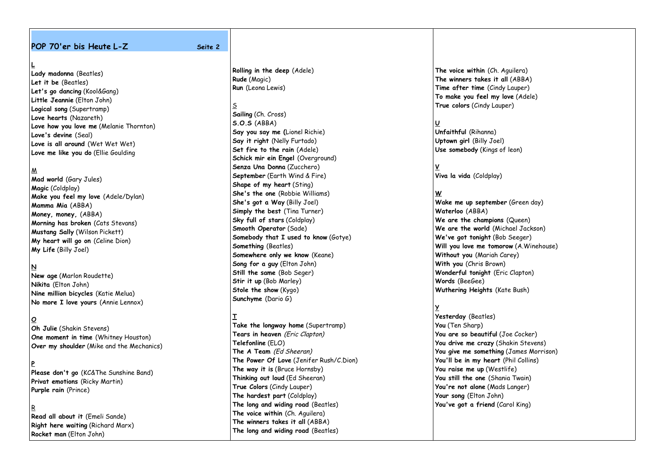#### **POP 70'er bis Heute L-Z** Seite 2

**Lady madonna** (Beatles) **Let it be** (Beatles) **Let's go dancing** (Kool&Gang) **Little Jeannie** (Elton John) **Logical song** (Supertramp) **Love hearts** (Nazareth) **Love how you love me** (Melanie Thornton) **Love's devine** (Seal) **Love is all around** (Wet Wet Wet) **Love me like you do** (Ellie Goulding

#### M

**L**

**Mad world** (Gary Jules) **Magic** (Coldplay) **Make you feel my love** (Adele/Dylan) **Mamma Mia** (ABBA) **Money, money,** (ABBA) **Morning has broken** (Cats Stevans) **Mustang Sally** (Wilson Pickett) **My heart will go on** (Celine Dion) **My Life** (Billy Joel)

### **N**

**New age** (Marlon Roudette) **Nikita** (Elton John) **Nine million bicycles** (Katie Melua) **No more I love yours** (Annie Lennox)

#### **O**

**Oh Julie** (Shakin Stevens) **One moment in time** (Whitney Houston) **Over my shoulder** (Mike and the Mechanics)

#### **P**

**Please don't go** (KC&The Sunshine Band) **Privat emotions** (Ricky Martin) **Purple rain** (Prince)

#### R

**Read all about it** (Emeli Sande) **Right here waiting** (Richard Marx) **Rocket man** (Elton John)

**Rolling in the deep** (Adele) **Rude** (Magic) **Run** (Leona Lewis)

S **Sailing** (Ch. Cross) **S.O.S** (ABBA) **Say you say me (**Lionel Richie) **Say it right** (Nelly Furtado) **Set fire to the rain** (Adele) **Schick mir ein Engel (Overground) Senza Una Donna** (Zucchero) **September** (Earth Wind & Fire) **Shape of my heart** (Sting) **She's the one** (Robbie Williams) **She's got a Way** (Billy Joel) **Simply the best** (Tina Turner) **Sky full of stars** (Coldplay) **Smooth Operator** (Sade) **Somebody that I used to know** (Gotye) **Something** (Beatles) **Somewhere only we know** (Keane) **Song for a guy** (Elton John) **Still the same** (Bob Seger) **Stir it up** (Bob Marley) **Stole the show** (Kygo) **Sunchyme** (Dario G)

## **T**

**Take the longway home** (Supertramp) **Tears in heaven** (Eric Clapton) **Telefonline** (ELO) **The A Team** (Ed Sheeran) **The Power Of Love** (Jenifer Rush/C.Dion) **The way it is** (Bruce Hornsby) **Thinking out loud** (Ed Sheeran) **True Colors** (Cindy Lauper) **The hardest part** (Coldplay) **The long and widing road** (Beatles) **The voice within** (Ch. Aguilera) **The winners takes it all** (ABBA) **The long and widing road** (Beatles)

**The voice within** (Ch. Aguilera) **The winners takes it all** (ABBA) **Time after time** (Cindy Lauper) **To make you feel my love** (Adele) **True colors** (Cindy Lauper)

#### **U**

**Unfaithful** (Rihanna) **Uptown girl** (Billy Joel) **Use somebody** (Kings of leon)

**V Viva la vida** (Coldplay)

#### **W**

**Wake me up september** (Green day) **Waterloo** (ABBA) **We are the champions** (Queen) **We are the world** (Michael Jackson) **We've got tonight** (Bob Seeger) **Will you love me tomorow** (A.Winehouse) **Without you** (Mariah Carey) **With you** (Chris Brown) **Wonderful tonight** (Eric Clapton) **Words** (BeeGee) **Wuthering Heights** (Kate Bush)

#### **Y**

**Yesterday** (Beatles) **You** (Ten Sharp) **You are so beautiful** (Joe Cocker) **You drive me crazy** (Shakin Stevens) **You give me something** (James Morrison) **You'll be in my heart** (Phil Collins) **You raise me up** (Westlife) **You still the one** (Shania Twain) **You're not alone** (Mads Langer) **Your song** (Elton John) **You've got a friend** (Carol King)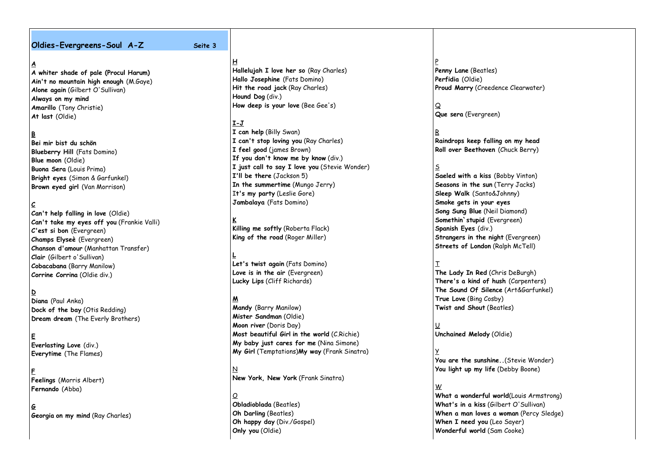#### **Oldies-Evergreens-Soul A-Z Seite 3**

### **A**

**A whiter shade of pale (Procul Harum) Ain't no mountain high enough** (M.Gaye) **Alone again** (Gilbert O'Sullivan) **Always on my mind Amarillo** (Tony Christie) **At last** (Oldie)

## **B**

**Bei mir bist du schön Blueberry Hill** (Fats Domino) **Blue moon** (Oldie) **Buona Sera** (Louis Prima) **Bright eyes** (Simon & Garfunkel) **Brown eyed girl** (Van Morrison)

## **C**

**Can't help falling in love** (Oldie) **Can't take my eyes off you** (Frankie Valli) **C'est si bon** (Evergreen) **Champs Elyseè** (Evergreen) **Chanson d'amour** (Manhattan Transfer) **Clair** (Gilbert o'Sullivan) **Cobacabana** (Barry Manilow) **Corrine Corrina** (Oldie div.)

**D Diana** (Paul Anka) **Dock of the bay** (Otis Redding) **Dream dream** (The Everly Brothers)

**E Everlasting Love** (div.) **Everytime** (The Flames)

**F Feelings** (Morris Albert) **Fernando** (Abba)

**G Georgia on my mind** (Ray Charles)

**H Hallelujah I love her so** (Ray Charles) **Hallo Josephine** (Fats Domino) **Hit the road jack** (Ray Charles) **Hound Dog** (div.) **How deep is your love** (Bee Gee's)

## **I-J**

**I can help** (Billy Swan) **I can't stop loving you** (Ray Charles) **I feel good** (james Brown) **If you don't know me by know** (div.) **I just call to say I love you** (Stevie Wonder) **I'll be there** (Jackson 5) **In the summertime** (Mungo Jerry) I**t's my party** (Leslie Gore) **Jambalaya** (Fats Domino)

**K Killing me softly** (Roberta Flack) **King of the road** (Roger Miller)

**L Let's twist again** (Fats Domino) **Love is in the air** (Evergreen) **Lucky Lips** (Cliff Richards)

## **M**

**Mandy** (Barry Manilow) **Mister Sandman** (Oldie) **Moon river** (Doris Day) **Most beautiful Girl in the world** (C.Richie) **My baby just cares for me** (Nina Simone) **My Girl** (Temptations)**My way** (Frank Sinatra)

 $\overline{\mathsf{N}}$ **New York, New York** (Frank Sinatra)

 $\mathcal Q$ **Obladioblada** (Beatles) **Oh Darling** (Beatles) **Oh happy day** (Div./Gospel) **Only you** (Oldie)

P **Penny Lane** (Beatles) **Perfidia** (Oldie) **Proud Marry** (Creedence Clearwater)

Q **Que sera** (Evergreen)

**Raindrops keep falling on my head Roll over Beethoven** (Chuck Berry)

#### S

R

**Saeled with a kiss** (Bobby Vinton) **Seasons in the sun** (Terry Jacks) **Sleep Walk** (Santo&Johnny) **Smoke gets in your eyes Song Sung Blue** (Neil Diamond) **Somethin`stupid** (Evergreen) **Spanish Eyes** (div.) **Strangers in the night** (Evergreen) **Streets of London** (Ralph McTell)

#### T

**The Lady In Red** (Chris DeBurgh) **There's a kind of hush** (Carpenters) **The Sound Of Silence** (Art&Garfunkel) **True Love** (Bing Cosby) **Twist and Shout** (Beatles)

U **Unchained Melody** (Oldie)

### Y

**You are the sunshine..**(Stevie Wonder) **You light up my life** (Debby Boone)

#### W

**What a wonderful world**(Louis Armstrong) **What's in a kiss** (Gilbert O'Sullivan) **When a man loves a woman** (Percy Sledge) **When I need you** (Leo Sayer) **Wonderful world** (Sam Cooke)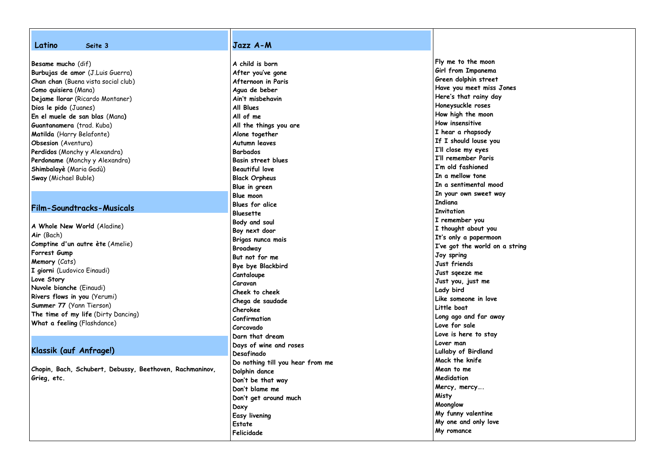| Latino<br>Seite 3                                        | Jazz A-M                         |                                      |
|----------------------------------------------------------|----------------------------------|--------------------------------------|
|                                                          | A child is born                  | Fly me to the moon                   |
| Besame mucho (dif)                                       |                                  | Girl from Impanema                   |
| Burbujas de amor (J.Luis Guerra)                         | After you've gone                | Green dolphin street                 |
| Chan chan (Buena vista social club)                      | Afternoon in Paris               | Have you meet miss Jones             |
| Como quisiera (Mana)                                     | Agua de beber                    | Here's that rainy day                |
| Dejame Ilorar (Ricardo Montaner)                         | Ain't misbehavin                 | Honeysuckle roses                    |
| Dios le pido (Juanes)                                    | All Blues                        |                                      |
| En el muele de san blas (Mana)                           | All of me                        | How high the moon<br>How insensitive |
| Guantanamera (trad. Kuba)                                | All the things you are           |                                      |
| Matilda (Harry Belafonte)                                | Alone together                   | I hear a rhapsody                    |
| Obsesion (Aventura)                                      | Autumn leaves                    | If I should louse you                |
| Perdidos (Monchy y Alexandra)                            | <b>Barbados</b>                  | I'll close my eyes                   |
| Perdoname (Monchy y Alexandra)                           | <b>Basin street blues</b>        | I'll remember Paris                  |
| Shimbalayè (Maria Gadù)                                  | <b>Beautiful love</b>            | I'm old fashioned                    |
| Sway (Michael Buble)                                     | <b>Black Orpheus</b>             | In a mellow tone                     |
|                                                          | Blue in green                    | In a sentimental mood                |
|                                                          | <b>Blue moon</b>                 | In your own sweet way                |
|                                                          | Blues for alice                  | <b>Indiana</b>                       |
| Film-Soundtracks-Musicals                                | Bluesette                        | <b>Invitation</b>                    |
|                                                          | Body and soul                    | I remember you                       |
| A Whole New World (Aladine)                              | Boy next door                    | I thought about you                  |
| Air (Bach)                                               | Brigas nunca mais                | It's only a papermoon                |
| Comptine d'un autre ète (Amelie)                         | Broadway                         | I've got the world on a string       |
| Forrest Gump                                             | But not for me                   | Joy spring                           |
| Memory (Cats)                                            | Bye bye Blackbird                | Just friends                         |
| I giorni (Ludovico Einaudi)                              |                                  | Just sgeeze me                       |
| Love Story                                               | Cantaloupe<br>Caravan            | Just you, just me                    |
| Nuvole bianche (Einaudi)                                 |                                  | Lady bird                            |
| Rivers flows in you (Yerumi)                             | Cheek to cheek                   | Like someone in love                 |
| Summer 77 (Yann Tierson)                                 | Chega de saudade                 | Little boat                          |
| The time of my life (Dirty Dancing)                      | Cherokee                         | Long ago and far away                |
| What a feeling (Flashdance)                              | Confirmation                     | Love for sale                        |
|                                                          | Corcovado                        |                                      |
|                                                          | Darn that dream                  | Love is here to stay                 |
|                                                          | Days of wine and roses           | Lover man                            |
| Klassik (auf Anfrage!)                                   | Desafinado                       | Lullaby of Birdland                  |
|                                                          | Do nothing till you hear from me | Mack the knife                       |
| Chopin, Bach, Schubert, Debussy, Beethoven, Rachmaninov, | Dolphin dance                    | Mean to me                           |
| Grieg, etc.                                              | Don't be that way                | Medidation                           |
|                                                          | Don't blame me                   | Mercy, mercy                         |
|                                                          | Don't get around much            | Misty                                |
|                                                          | Doxy                             | Moonglow                             |
|                                                          | <b>Easy livening</b>             | My funny valentine                   |
|                                                          | Estate                           | My one and only love                 |
|                                                          | Felicidade                       | My romance                           |